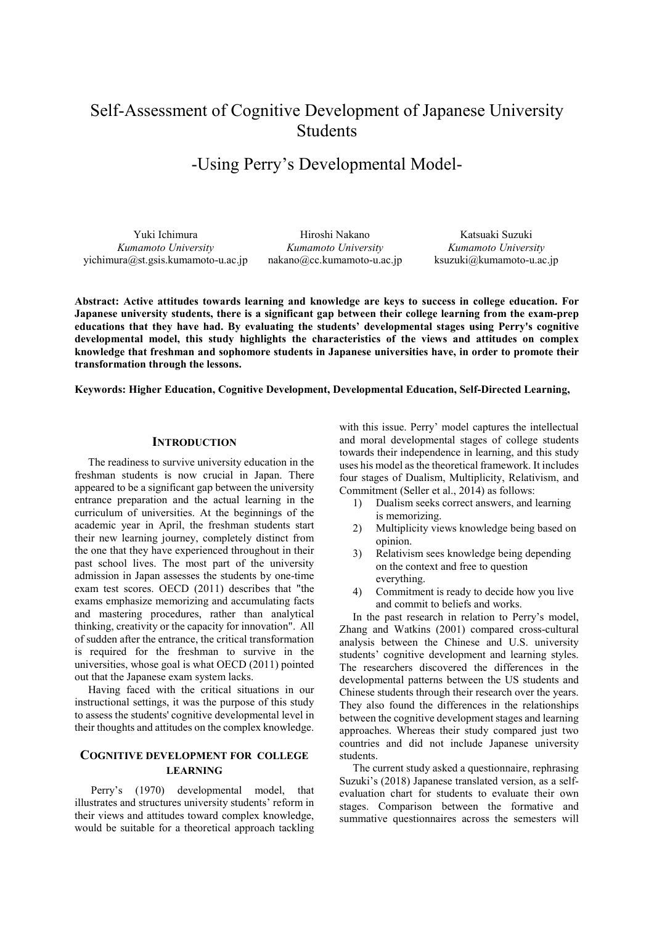# Self-Assessment of Cognitive Development of Japanese University Students

# -Using Perry's Developmental Model-

Yuki Ichimura *Kumamoto University*  yichimura@st.gsis.kumamoto-u.ac.jp

Hiroshi Nakano *Kumamoto University* nakano@cc.kumamoto-u.ac.jp

Katsuaki Suzuki *Kumamoto University* ksuzuki@kumamoto-u.ac.jp

**Abstract: Active attitudes towards learning and knowledge are keys to success in college education. For Japanese university students, there is a significant gap between their college learning from the exam-prep educations that they have had. By evaluating the students' developmental stages using Perry's cognitive developmental model, this study highlights the characteristics of the views and attitudes on complex knowledge that freshman and sophomore students in Japanese universities have, in order to promote their transformation through the lessons.** 

**Keywords: Higher Education, Cognitive Development, Developmental Education, Self-Directed Learning,** 

# **INTRODUCTION**

The readiness to survive university education in the freshman students is now crucial in Japan. There appeared to be a significant gap between the university entrance preparation and the actual learning in the curriculum of universities. At the beginnings of the academic year in April, the freshman students start their new learning journey, completely distinct from the one that they have experienced throughout in their past school lives. The most part of the university admission in Japan assesses the students by one-time exam test scores. OECD (2011) describes that "the exams emphasize memorizing and accumulating facts and mastering procedures, rather than analytical thinking, creativity or the capacity for innovation". All of sudden after the entrance, the critical transformation is required for the freshman to survive in the universities, whose goal is what OECD (2011) pointed out that the Japanese exam system lacks.

Having faced with the critical situations in our instructional settings, it was the purpose of this study to assess the students' cognitive developmental level in their thoughts and attitudes on the complex knowledge.

# **COGNITIVE DEVELOPMENT FOR COLLEGE LEARNING**

 Perry's (1970) developmental model, that illustrates and structures university students' reform in their views and attitudes toward complex knowledge, would be suitable for a theoretical approach tackling with this issue. Perry' model captures the intellectual and moral developmental stages of college students towards their independence in learning, and this study uses his model as the theoretical framework. It includes four stages of Dualism, Multiplicity, Relativism, and Commitment (Seller et al., 2014) as follows:

- 1) Dualism seeks correct answers, and learning is memorizing.
- 2) Multiplicity views knowledge being based on opinion.
- 3) Relativism sees knowledge being depending on the context and free to question everything.
- 4) Commitment is ready to decide how you live and commit to beliefs and works.

In the past research in relation to Perry's model, Zhang and Watkins (2001) compared cross-cultural analysis between the Chinese and U.S. university students' cognitive development and learning styles. The researchers discovered the differences in the developmental patterns between the US students and Chinese students through their research over the years. They also found the differences in the relationships between the cognitive development stages and learning approaches. Whereas their study compared just two countries and did not include Japanese university students.

The current study asked a questionnaire, rephrasing Suzuki's (2018) Japanese translated version, as a selfevaluation chart for students to evaluate their own stages. Comparison between the formative and summative questionnaires across the semesters will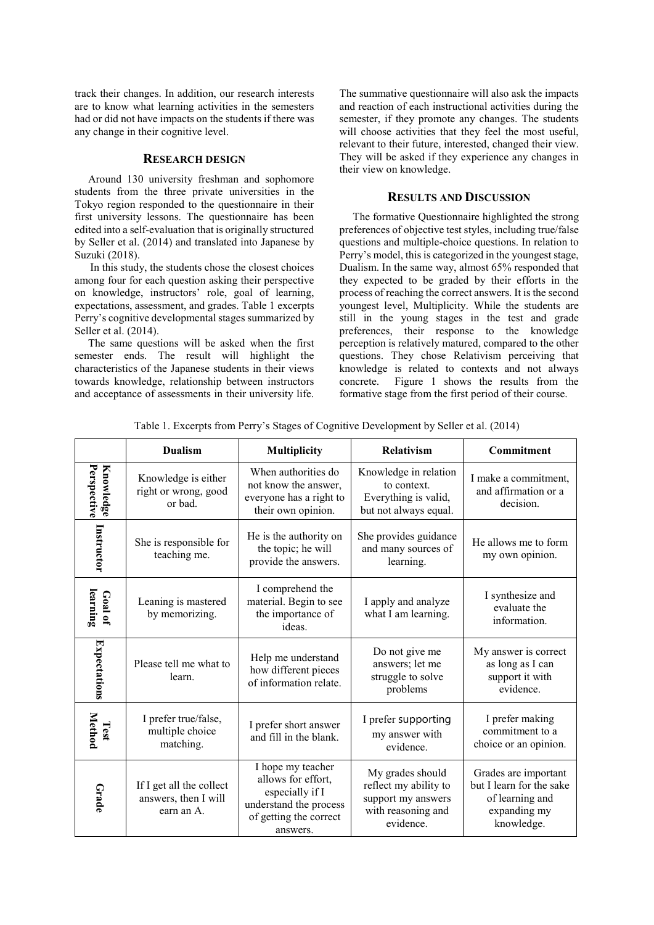track their changes. In addition, our research interests are to know what learning activities in the semesters had or did not have impacts on the students if there was any change in their cognitive level.

### **RESEARCH DESIGN**

Around 130 university freshman and sophomore students from the three private universities in the Tokyo region responded to the questionnaire in their first university lessons. The questionnaire has been edited into a self-evaluation that is originally structured by Seller et al. (2014) and translated into Japanese by Suzuki (2018).

In this study, the students chose the closest choices among four for each question asking their perspective on knowledge, instructors' role, goal of learning, expectations, assessment, and grades. Table 1 excerpts Perry's cognitive developmental stages summarized by Seller et al. (2014).

The same questions will be asked when the first semester ends. The result will highlight the characteristics of the Japanese students in their views towards knowledge, relationship between instructors and acceptance of assessments in their university life.

The summative questionnaire will also ask the impacts and reaction of each instructional activities during the semester, if they promote any changes. The students will choose activities that they feel the most useful, relevant to their future, interested, changed their view. They will be asked if they experience any changes in their view on knowledge.

## **RESULTS AND DISCUSSION**

The formative Questionnaire highlighted the strong preferences of objective test styles, including true/false questions and multiple-choice questions. In relation to Perry's model, this is categorized in the youngest stage, Dualism. In the same way, almost 65% responded that they expected to be graded by their efforts in the process of reaching the correct answers. It is the second youngest level, Multiplicity. While the students are still in the young stages in the test and grade preferences, their response to the knowledge perception is relatively matured, compared to the other questions. They chose Relativism perceiving that knowledge is related to contexts and not always concrete. Figure 1 shows the results from the formative stage from the first period of their course.

|                                 | <b>Dualism</b>                                                 | <b>Multiplicity</b>                                                                                                        | <b>Relativism</b>                                                                                  | Commitment                                                                                        |
|---------------------------------|----------------------------------------------------------------|----------------------------------------------------------------------------------------------------------------------------|----------------------------------------------------------------------------------------------------|---------------------------------------------------------------------------------------------------|
| Perspective<br><b>Knowledge</b> | Knowledge is either<br>right or wrong, good<br>or bad.         | When authorities do<br>not know the answer,<br>everyone has a right to<br>their own opinion.                               | Knowledge in relation<br>to context.<br>Everything is valid,<br>but not always equal.              | I make a commitment,<br>and affirmation or a<br>decision.                                         |
| Instructor                      | She is responsible for<br>teaching me.                         | He is the authority on<br>the topic; he will<br>provide the answers.                                                       | She provides guidance<br>and many sources of<br>learning.                                          | He allows me to form<br>my own opinion.                                                           |
| learning<br>Goal of             | Leaning is mastered<br>by memorizing.                          | I comprehend the<br>material. Begin to see<br>the importance of<br>ideas.                                                  | I apply and analyze<br>what I am learning.                                                         | I synthesize and<br>evaluate the<br>information.                                                  |
| Expectations                    | Please tell me what to<br>learn.                               | Help me understand<br>how different pieces<br>of information relate.                                                       | Do not give me<br>answers; let me<br>struggle to solve<br>problems                                 | My answer is correct<br>as long as I can<br>support it with<br>evidence.                          |
| <b>Method</b><br>Test           | I prefer true/false,<br>multiple choice<br>matching.           | I prefer short answer<br>and fill in the blank.                                                                            | I prefer supporting<br>my answer with<br>evidence.                                                 | I prefer making<br>commitment to a<br>choice or an opinion.                                       |
| Grade                           | If I get all the collect<br>answers, then I will<br>earn an A. | I hope my teacher<br>allows for effort,<br>especially if I<br>understand the process<br>of getting the correct<br>answers. | My grades should<br>reflect my ability to<br>support my answers<br>with reasoning and<br>evidence. | Grades are important<br>but I learn for the sake<br>of learning and<br>expanding my<br>knowledge. |

Table 1. Excerpts from Perry's Stages of Cognitive Development by Seller et al. (2014)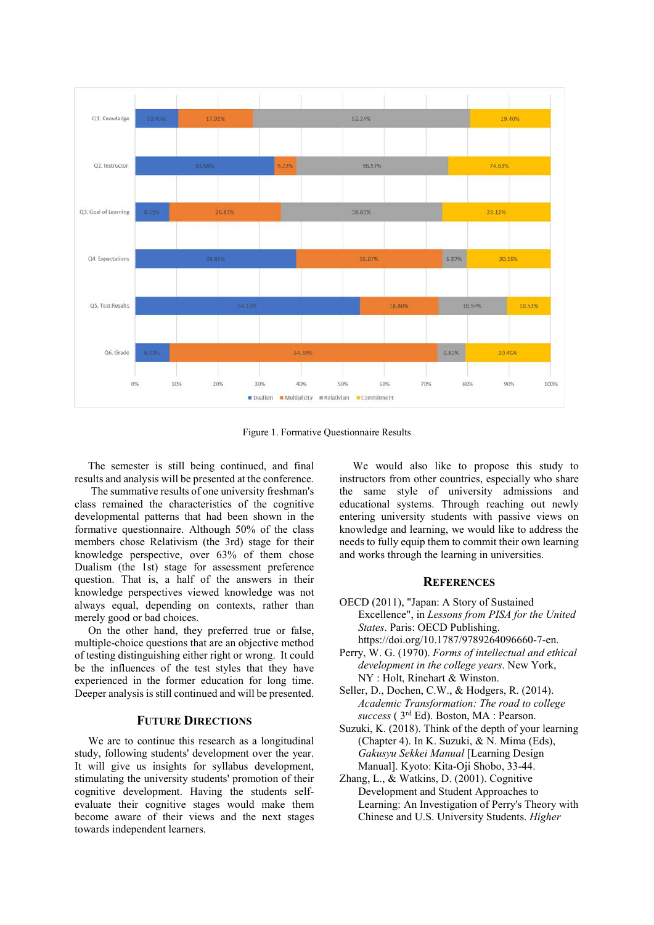

Figure 1. Formative Questionnaire Results

The semester is still being continued, and final results and analysis will be presented at the conference.

 The summative results of one university freshman's class remained the characteristics of the cognitive developmental patterns that had been shown in the formative questionnaire. Although 50% of the class members chose Relativism (the 3rd) stage for their knowledge perspective, over 63% of them chose Dualism (the 1st) stage for assessment preference question. That is, a half of the answers in their knowledge perspectives viewed knowledge was not always equal, depending on contexts, rather than merely good or bad choices.

On the other hand, they preferred true or false, multiple-choice questions that are an objective method of testing distinguishing either right or wrong. It could be the influences of the test styles that they have experienced in the former education for long time. Deeper analysis is still continued and will be presented.

### **FUTURE DIRECTIONS**

We are to continue this research as a longitudinal study, following students' development over the year. It will give us insights for syllabus development, stimulating the university students' promotion of their cognitive development. Having the students selfevaluate their cognitive stages would make them become aware of their views and the next stages towards independent learners.

We would also like to propose this study to instructors from other countries, especially who share the same style of university admissions and educational systems. Through reaching out newly entering university students with passive views on knowledge and learning, we would like to address the needs to fully equip them to commit their own learning and works through the learning in universities.

## **REFERENCES**

- OECD (2011), "Japan: A Story of Sustained Excellence", in *Lessons from PISA for the United States*. Paris: OECD Publishing. https://doi.org/10.1787/9789264096660-7-en.
- Perry, W. G. (1970). *Forms of intellectual and ethical development in the college years*. New York, NY : Holt, Rinehart & Winston.
- Seller, D., Dochen, C.W., & Hodgers, R. (2014). *Academic Transformation: The road to college success* ( 3rd Ed). Boston, MA : Pearson.
- Suzuki, K. (2018). Think of the depth of your learning (Chapter 4). In K. Suzuki, & N. Mima (Eds), *Gakusyu Sekkei Manual* [Learning Design Manual]. Kyoto: Kita-Oji Shobo, 33-44.
- Zhang, L., & Watkins, D. (2001). Cognitive Development and Student Approaches to Learning: An Investigation of Perry's Theory with Chinese and U.S. University Students. *Higher*